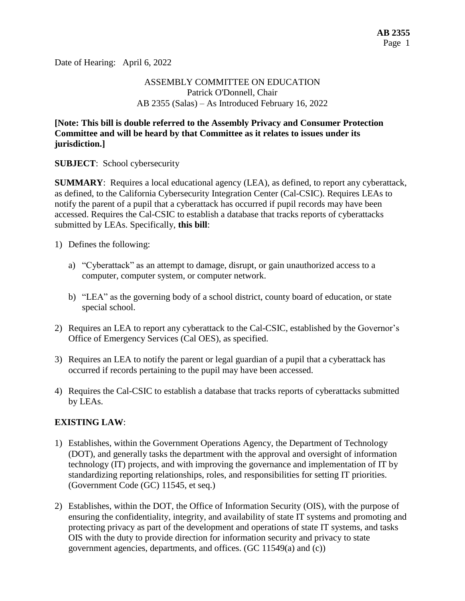Date of Hearing: April 6, 2022

## ASSEMBLY COMMITTEE ON EDUCATION Patrick O'Donnell, Chair AB 2355 (Salas) – As Introduced February 16, 2022

### **[Note: This bill is double referred to the Assembly Privacy and Consumer Protection Committee and will be heard by that Committee as it relates to issues under its jurisdiction.]**

**SUBJECT**: School cybersecurity

**SUMMARY:** Requires a local educational agency (LEA), as defined, to report any cyberattack, as defined, to the California Cybersecurity Integration Center (Cal-CSIC). Requires LEAs to notify the parent of a pupil that a cyberattack has occurred if pupil records may have been accessed. Requires the Cal-CSIC to establish a database that tracks reports of cyberattacks submitted by LEAs. Specifically, **this bill**:

- 1) Defines the following:
	- a) "Cyberattack" as an attempt to damage, disrupt, or gain unauthorized access to a computer, computer system, or computer network.
	- b) "LEA" as the governing body of a school district, county board of education, or state special school.
- 2) Requires an LEA to report any cyberattack to the Cal-CSIC, established by the Governor's Office of Emergency Services (Cal OES), as specified.
- 3) Requires an LEA to notify the parent or legal guardian of a pupil that a cyberattack has occurred if records pertaining to the pupil may have been accessed.
- 4) Requires the Cal-CSIC to establish a database that tracks reports of cyberattacks submitted by LEAs.

# **EXISTING LAW**:

- 1) Establishes, within the Government Operations Agency, the Department of Technology (DOT), and generally tasks the department with the approval and oversight of information technology (IT) projects, and with improving the governance and implementation of IT by standardizing reporting relationships, roles, and responsibilities for setting IT priorities. (Government Code (GC) 11545, et seq.)
- 2) Establishes, within the DOT, the Office of Information Security (OIS), with the purpose of ensuring the confidentiality, integrity, and availability of state IT systems and promoting and protecting privacy as part of the development and operations of state IT systems, and tasks OIS with the duty to provide direction for information security and privacy to state government agencies, departments, and offices. (GC 11549(a) and (c))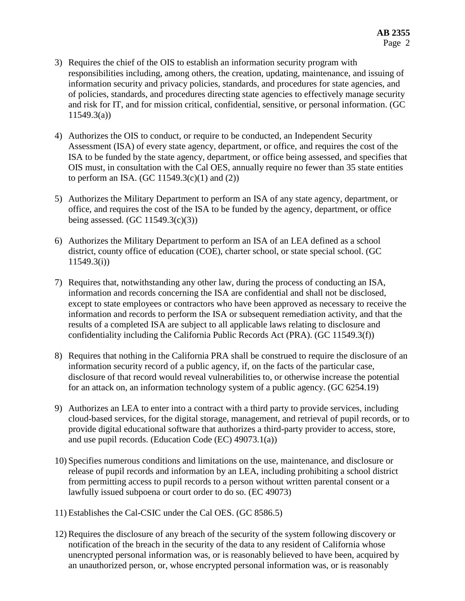- 3) Requires the chief of the OIS to establish an information security program with responsibilities including, among others, the creation, updating, maintenance, and issuing of information security and privacy policies, standards, and procedures for state agencies, and of policies, standards, and procedures directing state agencies to effectively manage security and risk for IT, and for mission critical, confidential, sensitive, or personal information. (GC 11549.3(a))
- 4) Authorizes the OIS to conduct, or require to be conducted, an Independent Security Assessment (ISA) of every state agency, department, or office, and requires the cost of the ISA to be funded by the state agency, department, or office being assessed, and specifies that OIS must, in consultation with the Cal OES, annually require no fewer than 35 state entities to perform an ISA. (GC 11549.3 $(c)(1)$  and  $(2)$ )
- 5) Authorizes the Military Department to perform an ISA of any state agency, department, or office, and requires the cost of the ISA to be funded by the agency, department, or office being assessed. (GC  $11549.3(c)(3)$ )
- 6) Authorizes the Military Department to perform an ISA of an LEA defined as a school district, county office of education (COE), charter school, or state special school. (GC 11549.3(i))
- 7) Requires that, notwithstanding any other law, during the process of conducting an ISA, information and records concerning the ISA are confidential and shall not be disclosed, except to state employees or contractors who have been approved as necessary to receive the information and records to perform the ISA or subsequent remediation activity, and that the results of a completed ISA are subject to all applicable laws relating to disclosure and confidentiality including the California Public Records Act (PRA). (GC 11549.3(f))
- 8) Requires that nothing in the California PRA shall be construed to require the disclosure of an information security record of a public agency, if, on the facts of the particular case, disclosure of that record would reveal vulnerabilities to, or otherwise increase the potential for an attack on, an information technology system of a public agency. (GC 6254.19)
- 9) Authorizes an LEA to enter into a contract with a third party to provide services, including cloud-based services, for the digital storage, management, and retrieval of pupil records, or to provide digital educational software that authorizes a third-party provider to access, store, and use pupil records. (Education Code (EC) 49073.1(a))
- 10) Specifies numerous conditions and limitations on the use, maintenance, and disclosure or release of pupil records and information by an LEA, including prohibiting a school district from permitting access to pupil records to a person without written parental consent or a lawfully issued subpoena or court order to do so. (EC 49073)
- 11) Establishes the Cal-CSIC under the Cal OES. (GC 8586.5)
- 12) Requires the disclosure of any breach of the security of the system following discovery or notification of the breach in the security of the data to any resident of California whose unencrypted personal information was, or is reasonably believed to have been, acquired by an unauthorized person, or, whose encrypted personal information was, or is reasonably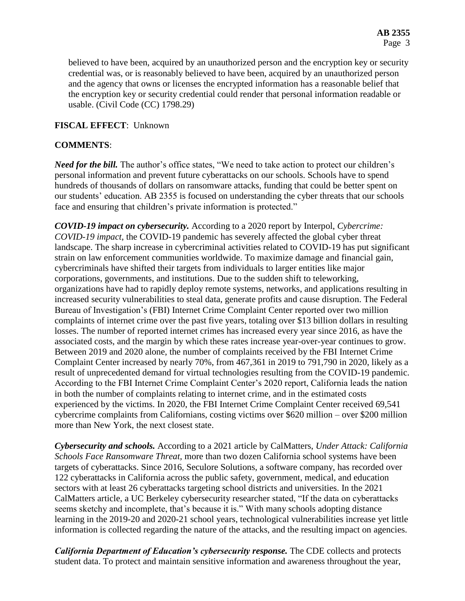believed to have been, acquired by an unauthorized person and the encryption key or security credential was, or is reasonably believed to have been, acquired by an unauthorized person and the agency that owns or licenses the encrypted information has a reasonable belief that the encryption key or security credential could render that personal information readable or usable. (Civil Code (CC) 1798.29)

### **FISCAL EFFECT**: Unknown

## **COMMENTS**:

*Need for the bill.* The author's office states, "We need to take action to protect our children's personal information and prevent future cyberattacks on our schools. Schools have to spend hundreds of thousands of dollars on ransomware attacks, funding that could be better spent on our students' education. AB 2355 is focused on understanding the cyber threats that our schools face and ensuring that children's private information is protected."

*COVID-19 impact on cybersecurity.* According to a 2020 report by Interpol, *Cybercrime: COVID-19 impact*, the COVID-19 pandemic has severely affected the global cyber threat landscape. The sharp increase in cybercriminal activities related to COVID-19 has put significant strain on law enforcement communities worldwide. To maximize damage and financial gain, cybercriminals have shifted their targets from individuals to larger entities like major corporations, governments, and institutions. Due to the sudden shift to teleworking, organizations have had to rapidly deploy remote systems, networks, and applications resulting in increased security vulnerabilities to steal data, generate profits and cause disruption. The Federal Bureau of Investigation's (FBI) Internet Crime Complaint Center reported over two million complaints of internet crime over the past five years, totaling over \$13 billion dollars in resulting losses. The number of reported internet crimes has increased every year since 2016, as have the associated costs, and the margin by which these rates increase year-over-year continues to grow. Between 2019 and 2020 alone, the number of complaints received by the FBI Internet Crime Complaint Center increased by nearly 70%, from 467,361 in 2019 to 791,790 in 2020, likely as a result of unprecedented demand for virtual technologies resulting from the COVID-19 pandemic. According to the FBI Internet Crime Complaint Center's 2020 report, California leads the nation in both the number of complaints relating to internet crime, and in the estimated costs experienced by the victims. In 2020, the FBI Internet Crime Complaint Center received 69,541 cybercrime complaints from Californians, costing victims over \$620 million – over \$200 million more than New York, the next closest state.

*Cybersecurity and schools.* According to a 2021 article by CalMatters, *Under Attack: California Schools Face Ransomware Threat,* more than two dozen California school systems have been targets of cyberattacks. Since 2016, Seculore Solutions, a software company, has recorded over 122 cyberattacks in California across the public safety, government, medical, and education sectors with at least 26 cyberattacks targeting school districts and universities. In the 2021 CalMatters article, a UC Berkeley cybersecurity researcher stated, "If the data on cyberattacks seems sketchy and incomplete, that's because it is." With many schools adopting distance learning in the 2019-20 and 2020-21 school years, technological vulnerabilities increase yet little information is collected regarding the nature of the attacks, and the resulting impact on agencies.

*California Department of Education's cybersecurity response.* The CDE collects and protects student data. To protect and maintain sensitive information and awareness throughout the year,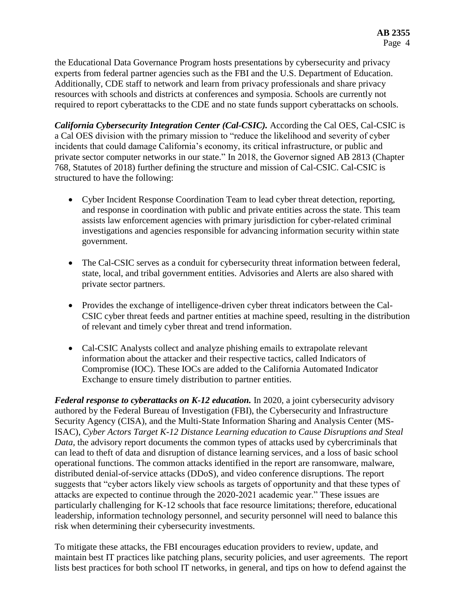the Educational Data Governance Program hosts presentations by cybersecurity and privacy experts from federal partner agencies such as the FBI and the U.S. Department of Education. Additionally, CDE staff to network and learn from privacy professionals and share privacy resources with schools and districts at conferences and symposia. Schools are currently not required to report cyberattacks to the CDE and no state funds support cyberattacks on schools.

*California Cybersecurity Integration Center (Cal-CSIC).* According the Cal OES, Cal-CSIC is a Cal OES division with the primary mission to "reduce the likelihood and severity of cyber incidents that could damage California's economy, its critical infrastructure, or public and private sector computer networks in our state." In 2018, the Governor signed AB 2813 (Chapter 768, Statutes of 2018) further defining the structure and mission of Cal-CSIC. Cal-CSIC is structured to have the following:

- Cyber Incident Response Coordination Team to lead cyber threat detection, reporting, and response in coordination with public and private entities across the state. This team assists law enforcement agencies with primary jurisdiction for cyber-related criminal investigations and agencies responsible for advancing information security within state government.
- The Cal-CSIC serves as a conduit for cybersecurity threat information between federal, state, local, and tribal government entities. Advisories and Alerts are also shared with private sector partners.
- Provides the exchange of intelligence-driven cyber threat indicators between the Cal-CSIC cyber threat feeds and partner entities at machine speed, resulting in the distribution of relevant and timely cyber threat and trend information.
- Cal-CSIC Analysts collect and analyze phishing emails to extrapolate relevant information about the attacker and their respective tactics, called Indicators of Compromise (IOC). These IOCs are added to the California Automated Indicator Exchange to ensure timely distribution to partner entities.

*Federal response to cyberattacks on K-12 education.* In 2020, a joint cybersecurity advisory authored by the Federal Bureau of Investigation (FBI), the Cybersecurity and Infrastructure Security Agency (CISA), and the Multi-State Information Sharing and Analysis Center (MS-ISAC), *Cyber Actors Target K-12 Distance Learning education to Cause Disruptions and Steal Data*, the advisory report documents the common types of attacks used by cybercriminals that can lead to theft of data and disruption of distance learning services, and a loss of basic school operational functions. The common attacks identified in the report are ransomware, malware, distributed denial-of-service attacks (DDoS), and video conference disruptions. The report suggests that "cyber actors likely view schools as targets of opportunity and that these types of attacks are expected to continue through the 2020-2021 academic year." These issues are particularly challenging for K-12 schools that face resource limitations; therefore, educational leadership, information technology personnel, and security personnel will need to balance this risk when determining their cybersecurity investments.

To mitigate these attacks, the FBI encourages education providers to review, update, and maintain best IT practices like patching plans, security policies, and user agreements. The report lists best practices for both school IT networks, in general, and tips on how to defend against the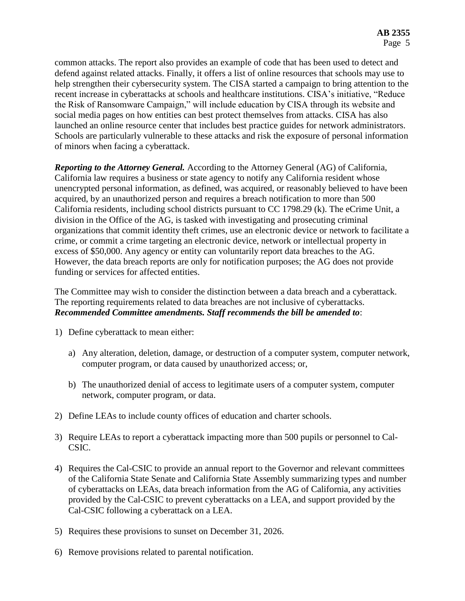common attacks. The report also provides an example of code that has been used to detect and defend against related attacks. Finally, it offers a list of online resources that schools may use to help strengthen their cybersecurity system. The CISA started a campaign to bring attention to the recent increase in cyberattacks at schools and healthcare institutions. CISA's initiative, "Reduce the Risk of Ransomware Campaign," will include education by CISA through its website and social media pages on how entities can best protect themselves from attacks. CISA has also launched an online resource center that includes best practice guides for network administrators. Schools are particularly vulnerable to these attacks and risk the exposure of personal information of minors when facing a cyberattack.

*Reporting to the Attorney General.* According to the Attorney General (AG) of California, California law requires a business or state agency to notify any California resident whose unencrypted personal information, as defined, was acquired, or reasonably believed to have been acquired, by an unauthorized person and requires a breach notification to more than 500 California residents, including school districts pursuant to CC 1798.29 (k). The eCrime Unit, a division in the Office of the AG, is tasked with investigating and prosecuting criminal organizations that commit identity theft crimes, use an electronic device or network to facilitate a crime, or commit a crime targeting an electronic device, network or intellectual property in excess of \$50,000. Any agency or entity can voluntarily report data breaches to the AG. However, the data breach reports are only for notification purposes; the AG does not provide funding or services for affected entities.

The Committee may wish to consider the distinction between a data breach and a cyberattack. The reporting requirements related to data breaches are not inclusive of cyberattacks. *Recommended Committee amendments. Staff recommends the bill be amended to*:

- 1) Define cyberattack to mean either:
	- a) Any alteration, deletion, damage, or destruction of a computer system, computer network, computer program, or data caused by unauthorized access; or,
	- b) The unauthorized denial of access to legitimate users of a computer system, computer network, computer program, or data.
- 2) Define LEAs to include county offices of education and charter schools.
- 3) Require LEAs to report a cyberattack impacting more than 500 pupils or personnel to Cal-CSIC.
- 4) Requires the Cal-CSIC to provide an annual report to the Governor and relevant committees of the California State Senate and California State Assembly summarizing types and number of cyberattacks on LEAs, data breach information from the AG of California, any activities provided by the Cal-CSIC to prevent cyberattacks on a LEA, and support provided by the Cal-CSIC following a cyberattack on a LEA.
- 5) Requires these provisions to sunset on December 31, 2026.
- 6) Remove provisions related to parental notification.